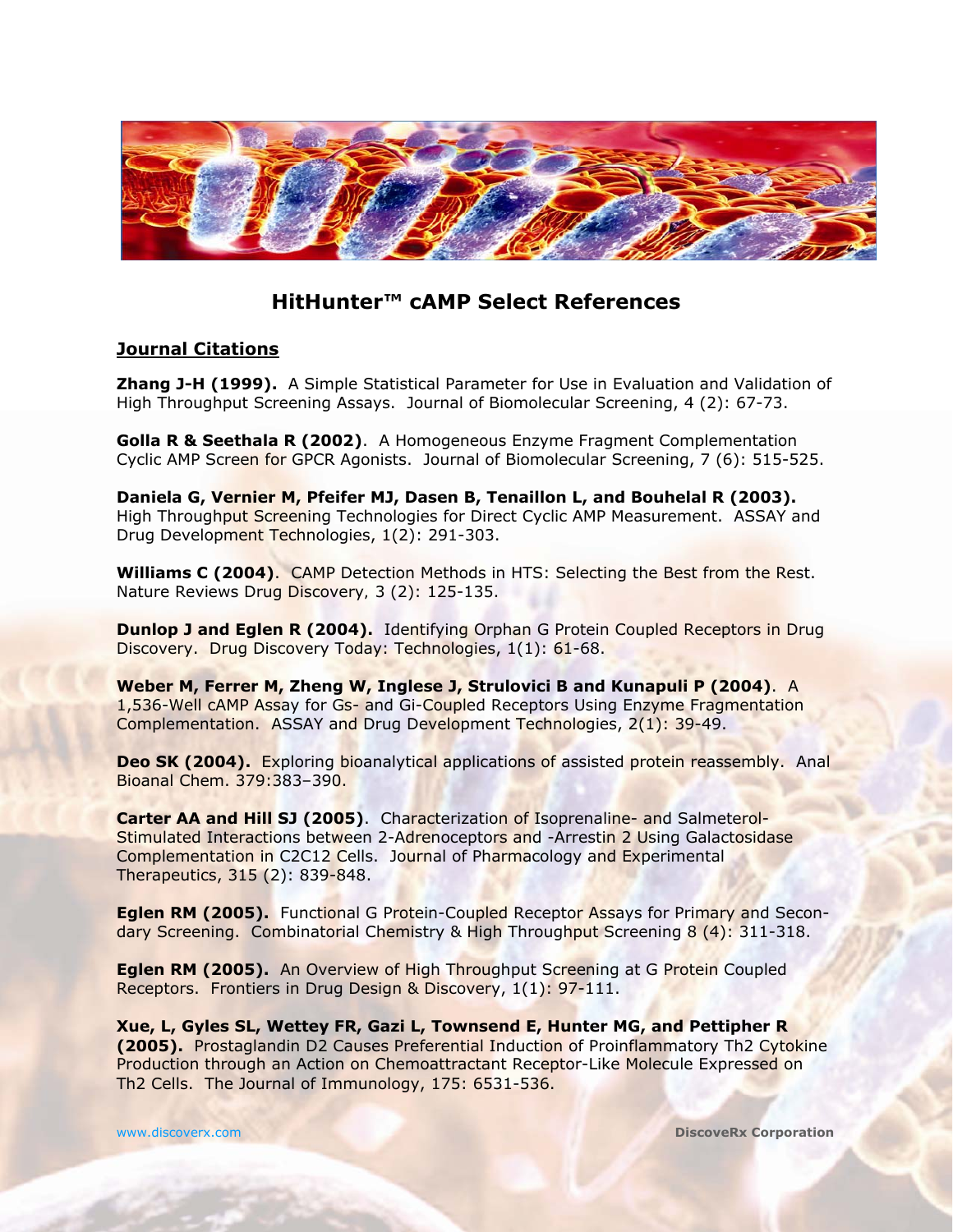

# **HitHunter™ cAMP Select References**

# **Journal Citations**

**Zhang J-H (1999).** A Simple Statistical Parameter for Use in Evaluation and Validation of High Throughput Screening Assays. Journal of Biomolecular Screening, 4 (2): 67-73.

**Golla R & Seethala R (2002)**. A Homogeneous Enzyme Fragment Complementation Cyclic AMP Screen for GPCR Agonists. Journal of Biomolecular Screening, 7 (6): 515-525.

**Daniela G, Vernier M, Pfeifer MJ, Dasen B, Tenaillon L, and Bouhelal R (2003).**  High Throughput Screening Technologies for Direct Cyclic AMP Measurement. ASSAY and Drug Development Technologies, 1(2): 291-303.

**Williams C (2004)**. CAMP Detection Methods in HTS: Selecting the Best from the Rest. Nature Reviews Drug Discovery*,* 3 (2): 125-135.

**Dunlop J and Eglen R (2004).** Identifying Orphan G Protein Coupled Receptors in Drug Discovery. Drug Discovery Today: Technologies, 1(1): 61-68.

**Weber M, Ferrer M, Zheng W, Inglese J, Strulovici B and Kunapuli P (2004)**. A 1,536-Well cAMP Assay for Gs- and Gi-Coupled Receptors Using Enzyme Fragmentation Complementation. ASSAY and Drug Development Technologies, 2(1): 39-49.

**Deo SK (2004).** Exploring bioanalytical applications of assisted protein reassembly. Anal Bioanal Chem. 379:383–390.

**Carter AA and Hill SJ (2005)**. Characterization of Isoprenaline- and Salmeterol-Stimulated Interactions between 2-Adrenoceptors and -Arrestin 2 Using Galactosidase Complementation in C2C12 Cells. Journal of Pharmacology and Experimental Therapeutics, 315 (2): 839-848.

**Eglen RM (2005).** Functional G Protein-Coupled Receptor Assays for Primary and Secondary Screening. Combinatorial Chemistry & High Throughput Screening 8 (4): 311-318.

**Eglen RM (2005).** An Overview of High Throughput Screening at G Protein Coupled Receptors. Frontiers in Drug Design & Discovery, 1(1): 97-111.

**Xue, L, Gyles SL, Wettey FR, Gazi L, Townsend E, Hunter MG, and Pettipher R (2005).** Prostaglandin D2 Causes Preferential Induction of Proinflammatory Th2 Cytokine Production through an Action on Chemoattractant Receptor-Like Molecule Expressed on Th2 Cells. The Journal of Immunology, 175: 6531-536.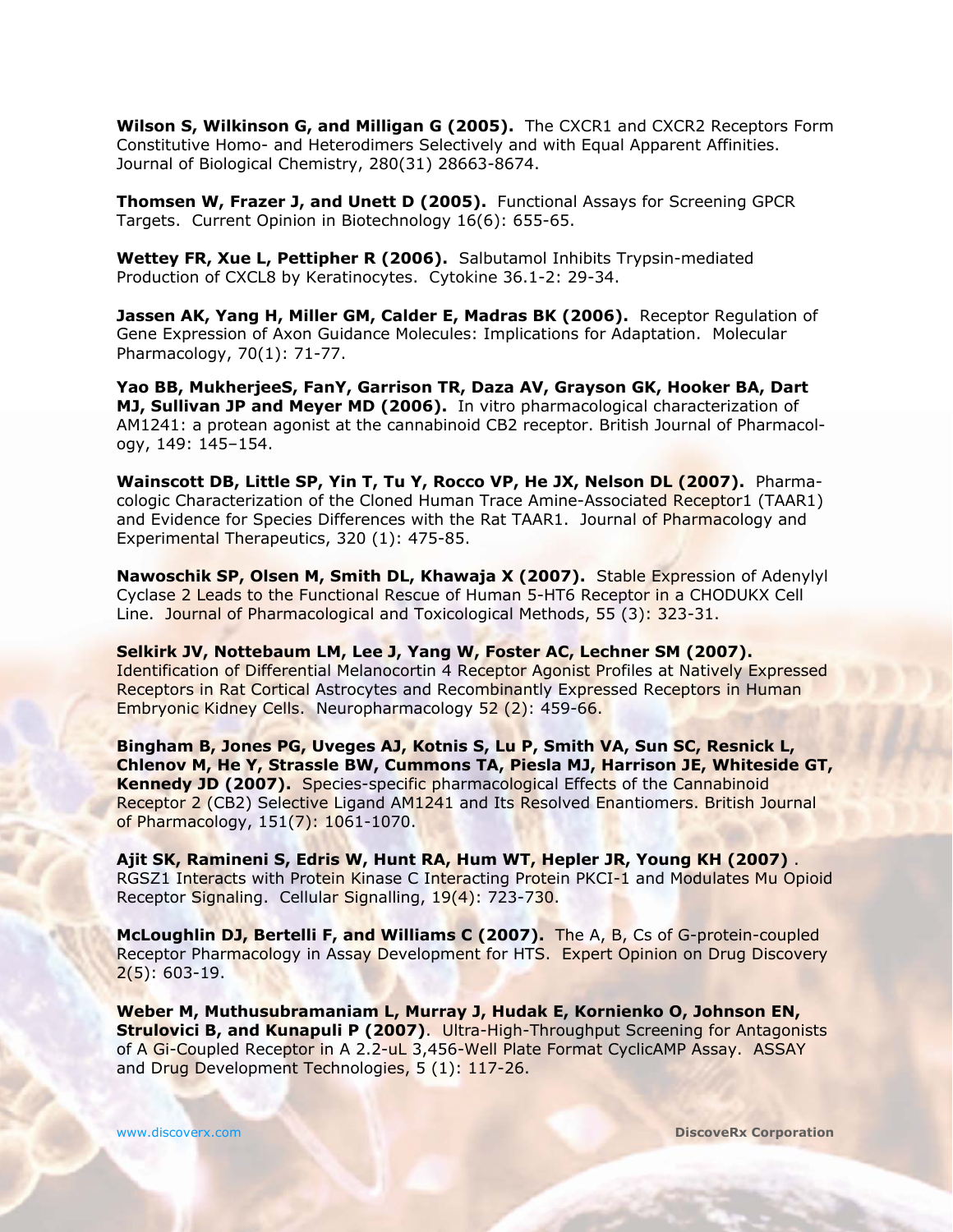**Wilson S, Wilkinson G, and Milligan G (2005).** The CXCR1 and CXCR2 Receptors Form Constitutive Homo- and Heterodimers Selectively and with Equal Apparent Affinities. Journal of Biological Chemistry, 280(31) 28663-8674.

**Thomsen W, Frazer J, and Unett D (2005).** Functional Assays for Screening GPCR Targets. Current Opinion in Biotechnology 16(6): 655-65.

**Wettey FR, Xue L, Pettipher R (2006).** Salbutamol Inhibits Trypsin-mediated Production of CXCL8 by Keratinocytes. *Cytokine* 36.1-2: 29-34.

**Jassen AK, Yang H, Miller GM, Calder E, Madras BK (2006).** Receptor Regulation of Gene Expression of Axon Guidance Molecules: Implications for Adaptation. Molecular Pharmacology, 70(1): 71-77.

**Yao BB, MukherjeeS, FanY, Garrison TR, Daza AV, Grayson GK, Hooker BA, Dart MJ, Sullivan JP and Meyer MD (2006).** In vitro pharmacological characterization of AM1241: a protean agonist at the cannabinoid CB2 receptor. British Journal of Pharmacology, 149: 145–154.

**Wainscott DB, Little SP, Yin T, Tu Y, Rocco VP, He JX, Nelson DL (2007).** Pharmacologic Characterization of the Cloned Human Trace Amine-Associated Receptor1 (TAAR1) and Evidence for Species Differences with the Rat TAAR1. Journal of Pharmacology and Experimental Therapeutics, 320 (1): 475-85.

**Nawoschik SP, Olsen M, Smith DL, Khawaja X (2007).** Stable Expression of Adenylyl Cyclase 2 Leads to the Functional Rescue of Human 5-HT6 Receptor in a CHODUKX Cell Line. Journal of Pharmacological and Toxicological Methods, 55 (3): 323-31.

**Selkirk JV, Nottebaum LM, Lee J, Yang W, Foster AC, Lechner SM (2007).** Identification of Differential Melanocortin 4 Receptor Agonist Profiles at Natively Expressed Receptors in Rat Cortical Astrocytes and Recombinantly Expressed Receptors in Human Embryonic Kidney Cells. Neuropharmacology 52 (2): 459-66.

**Bingham B, Jones PG, Uveges AJ, Kotnis S, Lu P, Smith VA, Sun SC, Resnick L, Chlenov M, He Y, Strassle BW, Cummons TA, Piesla MJ, Harrison JE, Whiteside GT, Kennedy JD (2007).** Species-specific pharmacological Effects of the Cannabinoid Receptor 2 (CB2) Selective Ligand AM1241 and Its Resolved Enantiomers. British Journal of Pharmacology, 151(7): 1061-1070.

**Ajit SK, Ramineni S, Edris W, Hunt RA, Hum WT, Hepler JR, Young KH (2007)** . RGSZ1 Interacts with Protein Kinase C Interacting Protein PKCI-1 and Modulates Mu Opioid Receptor Signaling. Cellular Signalling, 19(4): 723-730.

**McLoughlin DJ, Bertelli F, and Williams C (2007).** The A, B, Cs of G-protein-coupled Receptor Pharmacology in Assay Development for HTS. Expert Opinion on Drug Discovery  $2(5): 603-19.$ 

**Weber M, Muthusubramaniam L, Murray J, Hudak E, Kornienko O, Johnson EN, Strulovici B, and Kunapuli P (2007).** Ultra-High-Throughput Screening for Antagonists of A Gi-Coupled Receptor in A 2.2-uL 3,456-Well Plate Format CyclicAMP Assay. ASSAY and Drug Development Technologies, 5 (1): 117-26.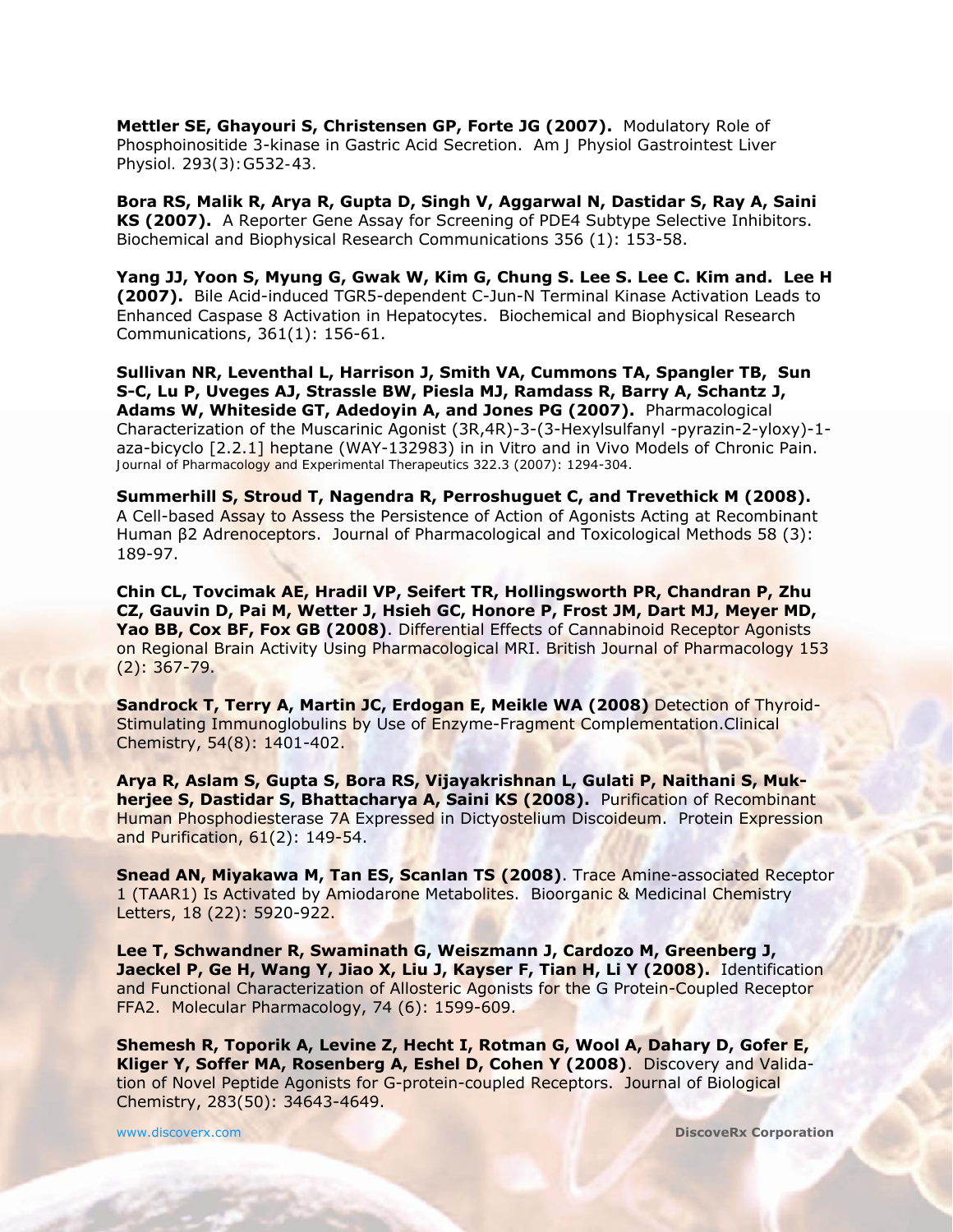**Mettler SE, Ghayouri S, Christensen GP, Forte JG (2007).** Modulatory Role of Phosphoinositide 3-kinase in Gastric Acid Secretion. *Am J Physiol Gastrointest Liver Physiol. 293(3):G532-43.*

**Bora RS, Malik R, Arya R, Gupta D, Singh V, Aggarwal N, Dastidar S, Ray A, Saini KS (2007).** A Reporter Gene Assay for Screening of PDE4 Subtype Selective Inhibitors. Biochemical and Biophysical Research Communications 356 (1): 153-58.

**Yang JJ, Yoon S, Myung G, Gwak W, Kim G, Chung S. Lee S. Lee C. Kim and. Lee H (2007).** Bile Acid-induced TGR5-dependent C-Jun-N Terminal Kinase Activation Leads to Enhanced Caspase 8 Activation in Hepatocytes. Biochemical and Biophysical Research Communications, 361(1): 156-61.

**Sullivan NR, Leventhal L, Harrison J, Smith VA, Cummons TA, Spangler TB, Sun S-C, Lu P, Uveges AJ, Strassle BW, Piesla MJ, Ramdass R, Barry A, Schantz J, Adams W, Whiteside GT, Adedoyin A, and Jones PG (2007).** Pharmacological Characterization of the Muscarinic Agonist (3R,4R)-3-(3-Hexylsulfanyl -pyrazin-2-yloxy)-1 aza-bicyclo [2.2.1] heptane (WAY-132983) in in Vitro and in Vivo Models of Chronic Pain. *Journal of Pharmacology and Experimental Therapeutics* 322.3 (2007): 1294-304.

**Summerhill S, Stroud T, Nagendra R, Perroshuguet C, and Trevethick M (2008).** A Cell-based Assay to Assess the Persistence of Action of Agonists Acting at Recombinant Human β2 Adrenoceptors. Journal of Pharmacological and Toxicological Methods 58 (3): 189-97.

**Chin CL, Tovcimak AE, Hradil VP, Seifert TR, Hollingsworth PR, Chandran P, Zhu CZ, Gauvin D, Pai M, Wetter J, Hsieh GC, Honore P, Frost JM, Dart MJ, Meyer MD, Yao BB, Cox BF, Fox GB (2008)**. Differential Effects of Cannabinoid Receptor Agonists on Regional Brain Activity Using Pharmacological MRI. British Journal of Pharmacology 153 (2): 367-79.

**Sandrock T, Terry A, Martin JC, Erdogan E, Meikle WA (2008)** Detection of Thyroid-Stimulating Immunoglobulins by Use of Enzyme-Fragment Complementation.Clinical Chemistry, 54(8): 1401-402.

**Arya R, Aslam S, Gupta S, Bora RS, Vijayakrishnan L, Gulati P, Naithani S, Mukherjee S, Dastidar S, Bhattacharya A, Saini KS (2008).** Purification of Recombinant Human Phosphodiesterase 7A Expressed in Dictyostelium Discoideum. Protein Expression and Purification, 61(2): 149-54.

**Snead AN, Miyakawa M, Tan ES, Scanlan TS (2008)**. Trace Amine-associated Receptor 1 (TAAR1) Is Activated by Amiodarone Metabolites. Bioorganic & Medicinal Chemistry Letters, 18 (22): 5920-922.

**Lee T, Schwandner R, Swaminath G, Weiszmann J, Cardozo M, Greenberg J, Jaeckel P, Ge H, Wang Y, Jiao X, Liu J, Kayser F, Tian H, Li Y (2008).** Identification and Functional Characterization of Allosteric Agonists for the G Protein-Coupled Receptor FFA2. Molecular Pharmacology, 74 (6): 1599-609.

**Shemesh R, Toporik A, Levine Z, Hecht I, Rotman G, Wool A, Dahary D, Gofer E, Kliger Y, Soffer MA, Rosenberg A, Eshel D, Cohen Y (2008)**. Discovery and Validation of Novel Peptide Agonists for G-protein-coupled Receptors. Journal of Biological Chemistry, 283(50): 34643-4649.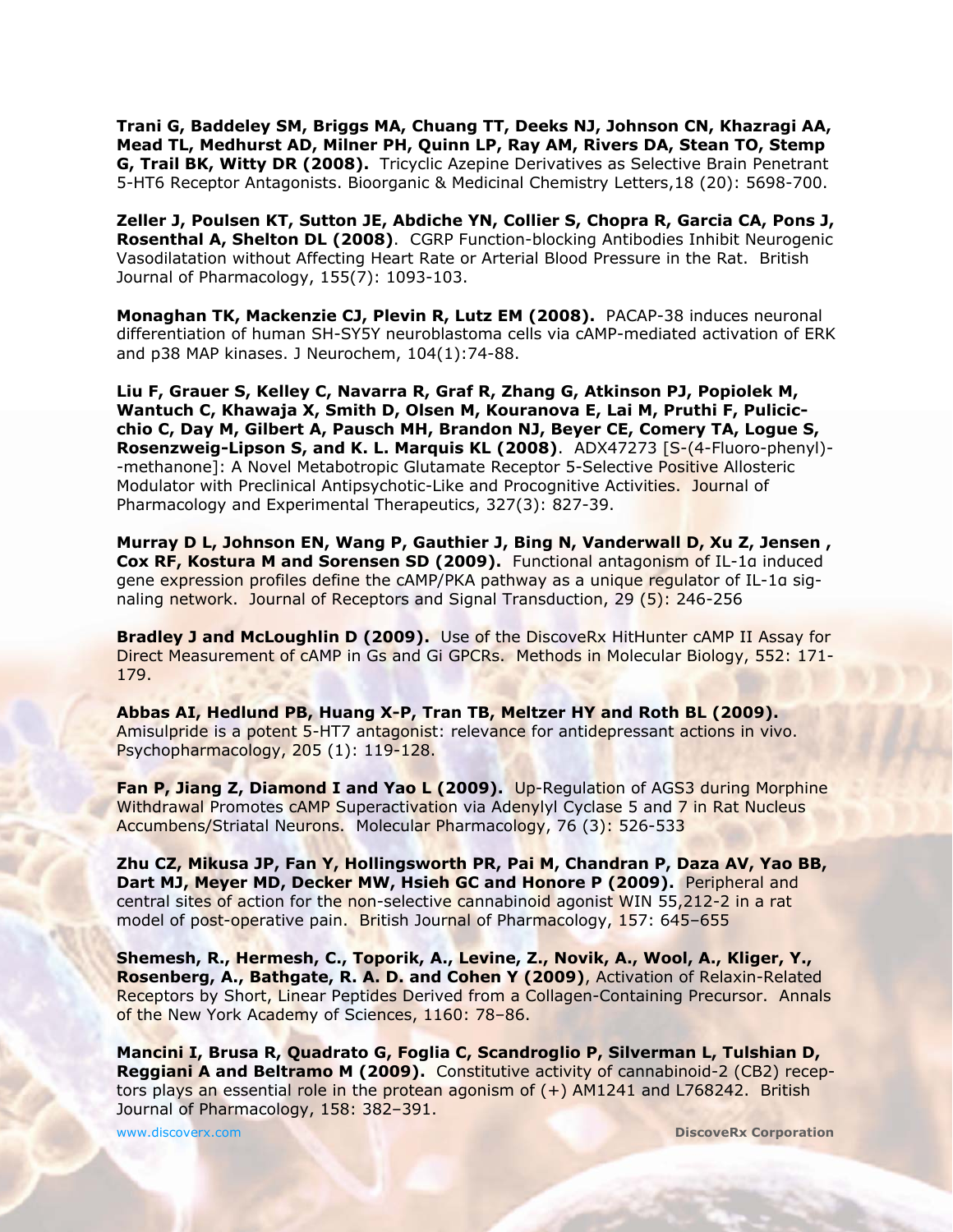**Trani G, Baddeley SM, Briggs MA, Chuang TT, Deeks NJ, Johnson CN, Khazragi AA, Mead TL, Medhurst AD, Milner PH, Quinn LP, Ray AM, Rivers DA, Stean TO, Stemp G, Trail BK, Witty DR (2008).** Tricyclic Azepine Derivatives as Selective Brain Penetrant 5-HT6 Receptor Antagonists. Bioorganic & Medicinal Chemistry Letters,18 (20): 5698-700.

**Zeller J, Poulsen KT, Sutton JE, Abdiche YN, Collier S, Chopra R, Garcia CA, Pons J, Rosenthal A, Shelton DL (2008)**. CGRP Function-blocking Antibodies Inhibit Neurogenic Vasodilatation without Affecting Heart Rate or Arterial Blood Pressure in the Rat. British Journal of Pharmacology, 155(7): 1093-103.

**Monaghan TK, Mackenzie CJ, Plevin R, Lutz EM (2008).** PACAP-38 induces neuronal differentiation of human SH-SY5Y neuroblastoma cells via cAMP-mediated activation of ERK and p38 MAP kinases. J Neurochem, 104(1):74-88.

**Liu F, Grauer S, Kelley C, Navarra R, Graf R, Zhang G, Atkinson PJ, Popiolek M, Wantuch C, Khawaja X, Smith D, Olsen M, Kouranova E, Lai M, Pruthi F, Pulicicchio C, Day M, Gilbert A, Pausch MH, Brandon NJ, Beyer CE, Comery TA, Logue S, Rosenzweig-Lipson S, and K. L. Marquis KL (2008)**. ADX47273 [S-(4-Fluoro-phenyl)- -methanone]: A Novel Metabotropic Glutamate Receptor 5-Selective Positive Allosteric Modulator with Preclinical Antipsychotic-Like and Procognitive Activities. Journal of Pharmacology and Experimental Therapeutics, 327(3): 827-39.

**Murray D L, Johnson EN, Wang P, Gauthier J, Bing N, Vanderwall D, Xu Z, Jensen , Cox RF, Kostura M and Sorensen SD (2009).** Functional antagonism of IL-1α induced gene expression profiles define the cAMP/PKA pathway as a unique regulator of IL-1α signaling network. Journal of Receptors and Signal Transduction, 29 (5): 246-256

**Bradley J and McLoughlin D (2009).** Use of the DiscoveRx HitHunter cAMP II Assay for Direct Measurement of cAMP in Gs and Gi GPCRs. Methods in Molecular Biology, 552: 171- 179.

**Abbas AI, Hedlund PB, Huang X-P, Tran TB, Meltzer HY and Roth BL (2009).** Amisulpride is a potent 5-HT7 antagonist: relevance for antidepressant actions in vivo. Psychopharmacology, 205 (1): 119-128.

**Fan P, Jiang Z, Diamond I and Yao L (2009).** Up-Regulation of AGS3 during Morphine Withdrawal Promotes cAMP Superactivation via Adenylyl Cyclase 5 and 7 in Rat Nucleus Accumbens/Striatal Neurons. Molecular Pharmacology, 76 (3): 526-533

**Zhu CZ, Mikusa JP, Fan Y, Hollingsworth PR, Pai M, Chandran P, Daza AV, Yao BB, Dart MJ, Meyer MD, Decker MW, Hsieh GC and Honore P (2009).** Peripheral and central sites of action for the non-selective cannabinoid agonist WIN 55,212-2 in a rat model of post-operative pain. British Journal of Pharmacology, 157: 645-655

**Shemesh, R., Hermesh, C., Toporik, A., Levine, Z., Novik, A., Wool, A., Kliger, Y., Rosenberg, A., Bathgate, R. A. D. and Cohen Y (2009)**, Activation of Relaxin-Related Receptors by Short, Linear Peptides Derived from a Collagen-Containing Precursor. Annals of the New York Academy of Sciences, 1160: 78–86.

**Mancini I, Brusa R, Quadrato G, Foglia C, Scandroglio P, Silverman L, Tulshian D, Reggiani A and Beltramo M (2009).** Constitutive activity of cannabinoid-2 (CB2) receptors plays an essential role in the protean agonism of  $(+)$  AM1241 and L768242. British Journal of Pharmacology, 158: 382–391.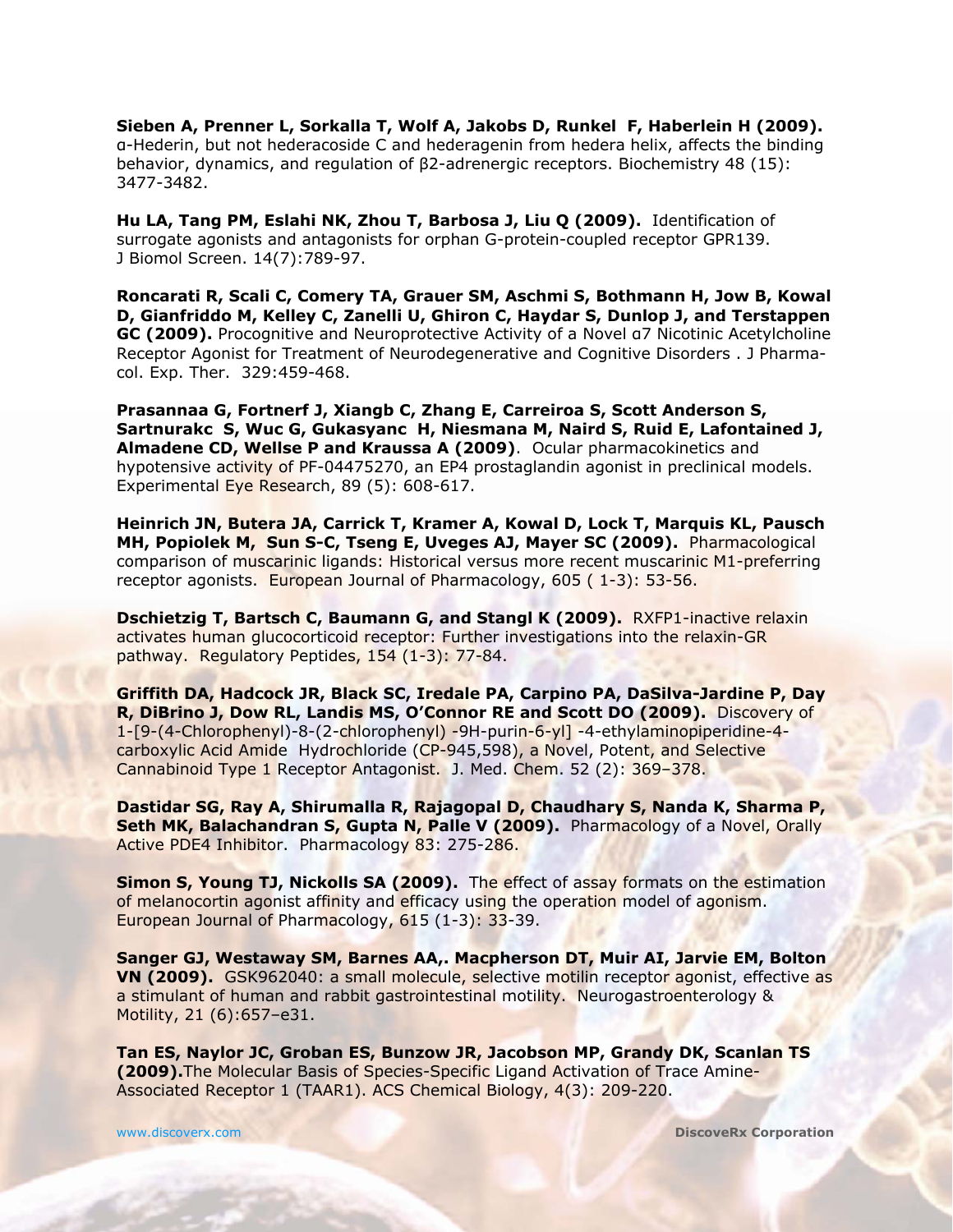**Sieben A, Prenner L, Sorkalla T, Wolf A, Jakobs D, Runkel F, Haberlein H (2009).** α-Hederin, but not hederacoside C and hederagenin from hedera helix, affects the binding behavior, dynamics, and regulation of β2-adrenergic receptors. Biochemistry 48 (15): 3477-3482.

**Hu LA, Tang PM, Eslahi NK, Zhou T, Barbosa J, Liu Q (2009).** Identification of surrogate agonists and antagonists for orphan G-protein-coupled receptor GPR139. J Biomol Screen. 14(7):789-97.

**Roncarati R, Scali C, Comery TA, Grauer SM, Aschmi S, Bothmann H, Jow B, Kowal D, Gianfriddo M, Kelley C, Zanelli U, Ghiron C, Haydar S, Dunlop J, and Terstappen GC (2009).** Procognitive and Neuroprotective Activity of a Novel a7 Nicotinic Acetylcholine Receptor Agonist for Treatment of Neurodegenerative and Cognitive Disorders . J Pharmacol. Exp. Ther. 329:459-468.

**Prasannaa G, Fortnerf J, Xiangb C, Zhang E, Carreiroa S, Scott Anderson S, Sartnurakc S, Wuc G, Gukasyanc H, Niesmana M, Naird S, Ruid E, Lafontained J, Almadene CD, Wellse P and Kraussa A (2009)**. Ocular pharmacokinetics and hypotensive activity of PF-04475270, an EP4 prostaglandin agonist in preclinical models. Experimental Eye Research, 89 (5): 608-617.

**Heinrich JN, Butera JA, Carrick T, Kramer A, Kowal D, Lock T, Marquis KL, Pausch MH, Popiolek M, Sun S-C, Tseng E, Uveges AJ, Mayer SC (2009).** Pharmacological comparison of muscarinic ligands: Historical versus more recent muscarinic M1-preferring receptor agonists. European Journal of Pharmacology, 605 ( 1-3): 53-56.

**Dschietzig T, Bartsch C, Baumann G, and Stangl K (2009).** RXFP1-inactive relaxin activates human glucocorticoid receptor: Further investigations into the relaxin-GR pathway. Regulatory Peptides, 154 (1-3): 77-84.

**Griffith DA, Hadcock JR, Black SC, Iredale PA, Carpino PA, DaSilva-Jardine P, Day R, DiBrino J, Dow RL, Landis MS, O'Connor RE and Scott DO (2009).** Discovery of 1-[9-(4-Chlorophenyl)-8-(2-chlorophenyl) -9H-purin-6-yl] -4-ethylaminopiperidine-4 carboxylic Acid Amide Hydrochloride (CP-945,598), a Novel, Potent, and Selective Cannabinoid Type 1 Receptor Antagonist. J. Med. Chem. 52 (2): 369-378.

**Dastidar SG, Ray A, Shirumalla R, Rajagopal D, Chaudhary S, Nanda K, Sharma P, Seth MK, Balachandran S, Gupta N, Palle V (2009).** Pharmacology of a Novel, Orally Active PDE4 Inhibitor. Pharmacology 83: 275-286.

**Simon S, Young TJ, Nickolls SA (2009).** The effect of assay formats on the estimation of melanocortin agonist affinity and efficacy using the operation model of agonism. European Journal of Pharmacology, 615 (1-3): 33-39.

**Sanger GJ, Westaway SM, Barnes AA,. Macpherson DT, Muir AI, Jarvie EM, Bolton VN (2009).** GSK962040: a small molecule, selective motilin receptor agonist, effective as a stimulant of human and rabbit gastrointestinal motility. Neurogastroenterology & Motility, 21 (6):657–e31.

**Tan ES, Naylor JC, Groban ES, Bunzow JR, Jacobson MP, Grandy DK, Scanlan TS (2009).**The Molecular Basis of Species-Specific Ligand Activation of Trace Amine-Associated Receptor 1 (TAAR1). ACS Chemical Biology, 4(3): 209-220.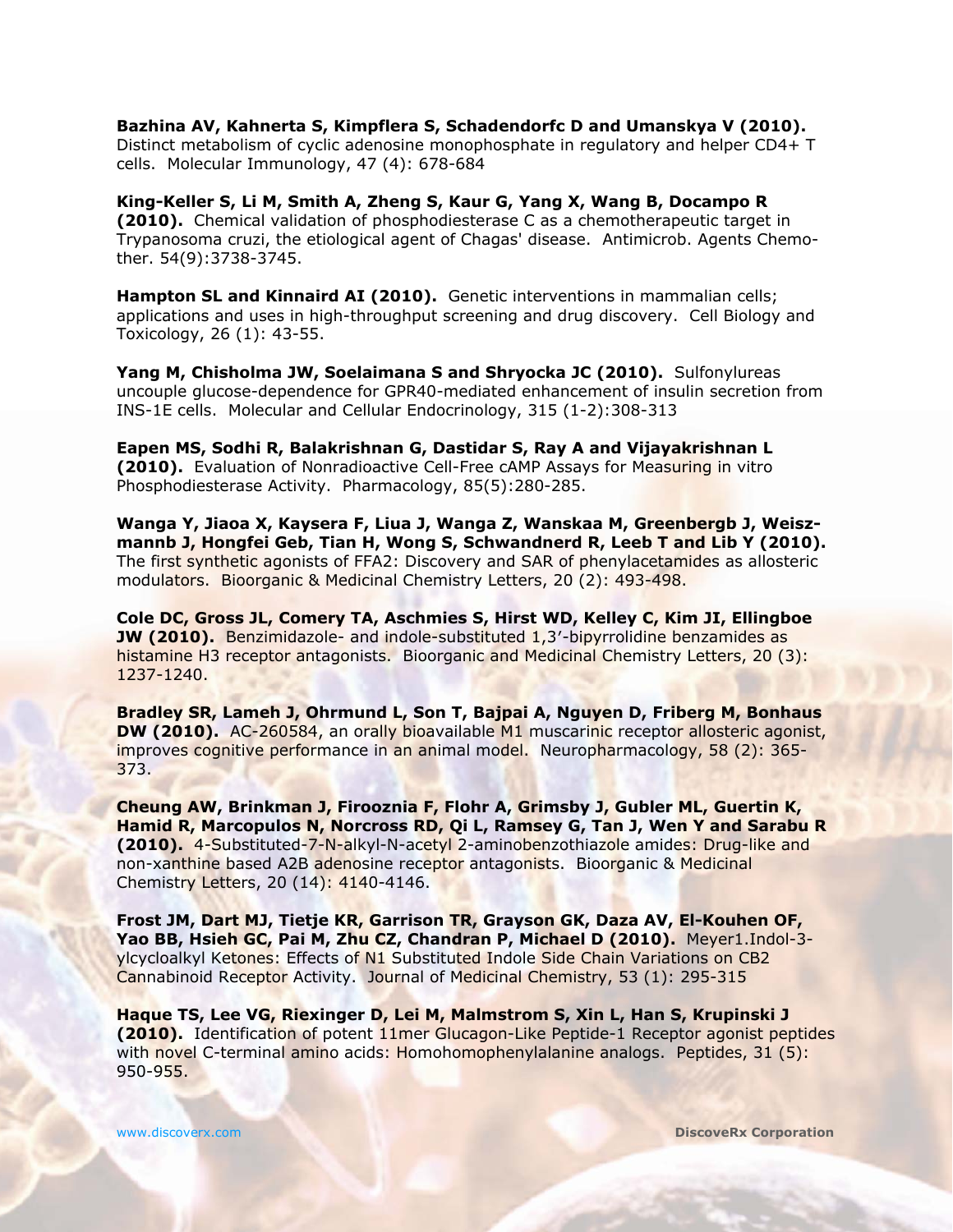**Bazhina AV, Kahnerta S, Kimpflera S, Schadendorfc D and Umanskya V (2010).** Distinct metabolism of cyclic adenosine monophosphate in regulatory and helper CD4+ T cells. Molecular Immunology, 47 (4): 678-684

**King-Keller S, Li M, Smith A, Zheng S, Kaur G, Yang X, Wang B, Docampo R (2010).** Chemical validation of phosphodiesterase C as a chemotherapeutic target in Trypanosoma cruzi, the etiological agent of Chagas' disease. Antimicrob. Agents Chemother. 54(9):3738-3745.

**Hampton SL and Kinnaird AI (2010).** Genetic interventions in mammalian cells; applications and uses in high-throughput screening and drug discovery. Cell Biology and Toxicology, 26 (1): 43-55.

**Yang M, Chisholma JW, Soelaimana S and Shryocka JC (2010).** Sulfonylureas uncouple glucose-dependence for GPR40-mediated enhancement of insulin secretion from INS-1E cells. Molecular and Cellular Endocrinology, 315 (1-2):308-313

**Eapen MS, Sodhi R, Balakrishnan G, Dastidar S, Ray A and Vijayakrishnan L (2010).** Evaluation of Nonradioactive Cell-Free cAMP Assays for Measuring in vitro Phosphodiesterase Activity. Pharmacology, 85(5):280-285.

**Wanga Y, Jiaoa X, Kaysera F, Liua J, Wanga Z, Wanskaa M, Greenbergb J, Weiszmannb J, Hongfei Geb, Tian H, Wong S, Schwandnerd R, Leeb T and Lib Y (2010).** The first synthetic agonists of FFA2: Discovery and SAR of phenylacetamides as allosteric modulators. Bioorganic & Medicinal Chemistry Letters, 20 (2): 493-498.

**Cole DC, Gross JL, Comery TA, Aschmies S, Hirst WD, Kelley C, Kim JI, Ellingboe JW (2010).** Benzimidazole- and indole-substituted 1,3'-bipyrrolidine benzamides as histamine H3 receptor antagonists. Bioorganic and Medicinal Chemistry Letters, 20 (3): 1237-1240.

**Bradley SR, Lameh J, Ohrmund L, Son T, Bajpai A, Nguyen D, Friberg M, Bonhaus DW (2010).** AC-260584, an orally bioavailable M1 muscarinic receptor allosteric agonist, improves cognitive performance in an animal model. Neuropharmacology, 58 (2): 365-373.

**Cheung AW, Brinkman J, Firooznia F, Flohr A, Grimsby J, Gubler ML, Guertin K, Hamid R, Marcopulos N, Norcross RD, Qi L, Ramsey G, Tan J, Wen Y and Sarabu R (2010).** 4-Substituted-7-N-alkyl-N-acetyl 2-aminobenzothiazole amides: Drug-like and non-xanthine based A2B adenosine receptor antagonists. Bioorganic & Medicinal Chemistry Letters, 20 (14): 4140-4146.

**Frost JM, Dart MJ, Tietje KR, Garrison TR, Grayson GK, Daza AV, El-Kouhen OF, Yao BB, Hsieh GC, Pai M, Zhu CZ, Chandran P, Michael D (2010).** Meyer1.Indol-3 ylcycloalkyl Ketones: Effects of N1 Substituted Indole Side Chain Variations on CB2 Cannabinoid Receptor Activity. Journal of Medicinal Chemistry, 53 (1): 295-315

**Haque TS, Lee VG, Riexinger D, Lei M, Malmstrom S, Xin L, Han S, Krupinski J (2010).** Identification of potent 11mer Glucagon-Like Peptide-1 Receptor agonist peptides with novel C-terminal amino acids: Homohomophenylalanine analogs. Peptides, 31 (5): 950-955.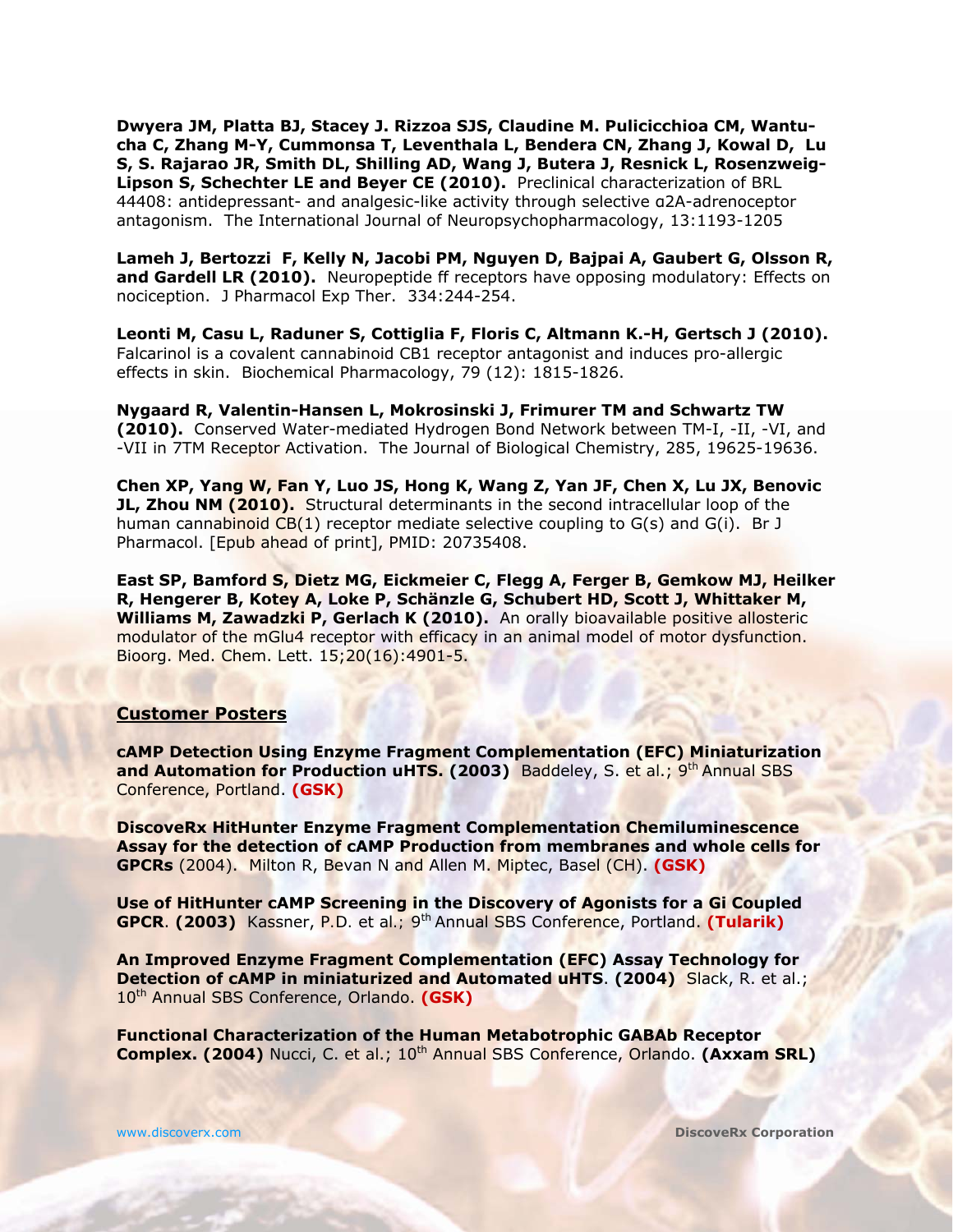**Dwyera JM, Platta BJ, Stacey J. Rizzoa SJS, Claudine M. Pulicicchioa CM, Wantucha C, Zhang M-Y, Cummonsa T, Leventhala L, Bendera CN, Zhang J, Kowal D, Lu S, S. Rajarao JR, Smith DL, Shilling AD, Wang J, Butera J, Resnick L, Rosenzweig-Lipson S, Schechter LE and Beyer CE (2010).** Preclinical characterization of BRL 44408: antidepressant- and analgesic-like activity through selective α2A-adrenoceptor antagonism. The International Journal of Neuropsychopharmacology, 13:1193-1205

**Lameh J, Bertozzi F, Kelly N, Jacobi PM, Nguyen D, Bajpai A, Gaubert G, Olsson R,**  and Gardell LR (2010). Neuropeptide ff receptors have opposing modulatory: Effects on nociception. J Pharmacol Exp Ther. 334:244-254.

**Leonti M, Casu L, Raduner S, Cottiglia F, Floris C, Altmann K.-H, Gertsch J (2010).** Falcarinol is a covalent cannabinoid CB1 receptor antagonist and induces pro-allergic effects in skin. Biochemical Pharmacology, 79 (12): 1815-1826.

**Nygaard R, Valentin-Hansen L, Mokrosinski J, Frimurer TM and Schwartz TW (2010).** Conserved Water-mediated Hydrogen Bond Network between TM-I, -II, -VI, and -VII in 7TM Receptor Activation. The Journal of Biological Chemistry, 285, 19625-19636.

**Chen XP, Yang W, Fan Y, Luo JS, Hong K, Wang Z, Yan JF, Chen X, Lu JX, Benovic JL, Zhou NM (2010).** Structural determinants in the second intracellular loop of the human cannabinoid CB(1) receptor mediate selective coupling to G(s) and G(i). Br J Pharmacol. [Epub ahead of print], PMID: 20735408.

**East SP, Bamford S, Dietz MG, Eickmeier C, Flegg A, Ferger B, Gemkow MJ, Heilker R, Hengerer B, Kotey A, Loke P, Schänzle G, Schubert HD, Scott J, Whittaker M,**  Williams M, Zawadzki P, Gerlach K (2010). An orally bioavailable positive allosteric modulator of the mGlu4 receptor with efficacy in an animal model of motor dysfunction. Bioorg. Med. Chem. Lett. 15;20(16):4901-5.

#### **Customer Posters**

**cAMP Detection Using Enzyme Fragment Complementation (EFC) Miniaturization and Automation for Production uHTS. (2003)** Baddeley, S. *et al.*; 9<sup>th</sup> Annual SBS Conference, Portland. **(GSK)**

**DiscoveRx HitHunter Enzyme Fragment Complementation Chemiluminescence Assay for the detection of cAMP Production from membranes and whole cells for GPCRs** (2004). Milton R, Bevan N and Allen M. Miptec, Basel (CH). **(GSK)**

**Use of HitHunter cAMP Screening in the Discovery of Agonists for a Gi Coupled GPCR**. **(2003)** Kassner, *P.D.* et al*.;* 9th Annual SBS Conference, Portland. **(Tularik)**

**An Improved Enzyme Fragment Complementation (EFC) Assay Technology for Detection of cAMP in miniaturized and Automated uHTS**. **(2004)** Slack, R. et al.; 10th Annual SBS Conference, Orlando. **(GSK)** 

**Functional Characterization of the Human Metabotrophic GABAb Receptor Complex. (2004)** Nucci, C. *et al.*; 10<sup>th</sup> Annual SBS Conference, Orlando. (Axxam SRL)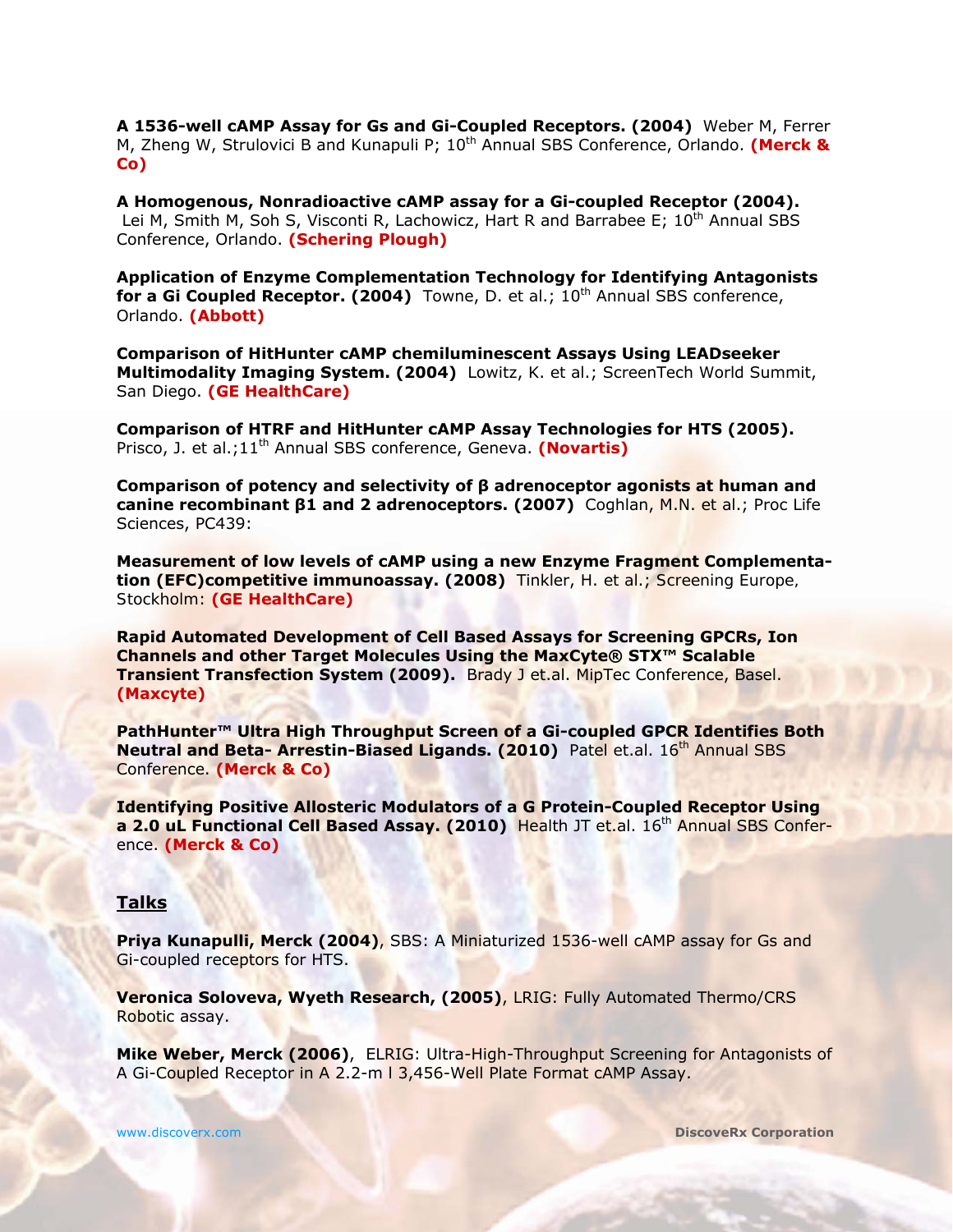**A 1536-well cAMP Assay for Gs and Gi-Coupled Receptors. (2004)** Weber M, Ferrer M, Zheng W, Strulovici B and Kunapuli P; 10th Annual SBS Conference, Orlando. **(Merck & Co)** 

**A Homogenous, Nonradioactive cAMP assay for a Gi-coupled Receptor (2004).** Lei M, Smith M, Soh S, Visconti R, Lachowicz, Hart R and Barrabee E; 10<sup>th</sup> Annual SBS Conference, Orlando. **(Schering Plough)**

**Application of Enzyme Complementation Technology for Identifying Antagonists for a Gi Coupled Receptor. (2004)** Towne, D. *et al.*; 10<sup>th</sup> Annual SBS conference, Orlando. **(Abbott)**

**Comparison of HitHunter cAMP chemiluminescent Assays Using LEADseeker Multimodality Imaging System. (2004)** Lowitz, K. *et al*.; ScreenTech World Summit, San Diego. **(GE HealthCare)**

**Comparison of HTRF and HitHunter cAMP Assay Technologies for HTS (2005).**  Prisco, J. *et al*.;11<sup>th</sup> Annual SBS conference, Geneva. **(Novartis)** 

**Comparison of potency and selectivity of β adrenoceptor agonists at human and canine recombinant β1 and 2 adrenoceptors. (2007)** Coghlan, M.N. *et al*.; Proc Life Sciences, PC439:

**Measurement of low levels of cAMP using a new Enzyme Fragment Complementation (EFC)competitive immunoassay. (2008)** Tinkler, H. *et al*.; *Screening Europe, Stockholm*: **(GE HealthCare)**

**Rapid Automated Development of Cell Based Assays for Screening GPCRs, Ion Channels and other Target Molecules Using the MaxCyte® STX™ Scalable Transient Transfection System (2009).** Brady J et.al. MipTec Conference, Basel. **(Maxcyte)**

**PathHunter™ Ultra High Throughput Screen of a Gi-coupled GPCR Identifies Both Neutral and Beta- Arrestin-Biased Ligands. (2010)** Patel et.al. 16<sup>th</sup> Annual SBS Conference. **(Merck & Co)**

**Identifying Positive Allosteric Modulators of a G Protein-Coupled Receptor Using a 2.0 uL Functional Cell Based Assay. (2010) <b>Health JT et.al. 16<sup>th</sup> Annual SBS Confer**ence. **(Merck & Co)**

#### **Talks**

**Priya Kunapulli, Merck (2004), SBS: A Miniaturized 1536-well cAMP assay for Gs and** Gi-coupled receptors for HTS.

**Veronica Soloveva, Wyeth Research, (2005)**, LRIG: Fully Automated Thermo/CRS Robotic assay.

**Mike Weber, Merck (2006)**, ELRIG: Ultra-High-Throughput Screening for Antagonists of A Gi-Coupled Receptor in A 2.2-m l 3,456-Well Plate Format cAMP Assay.